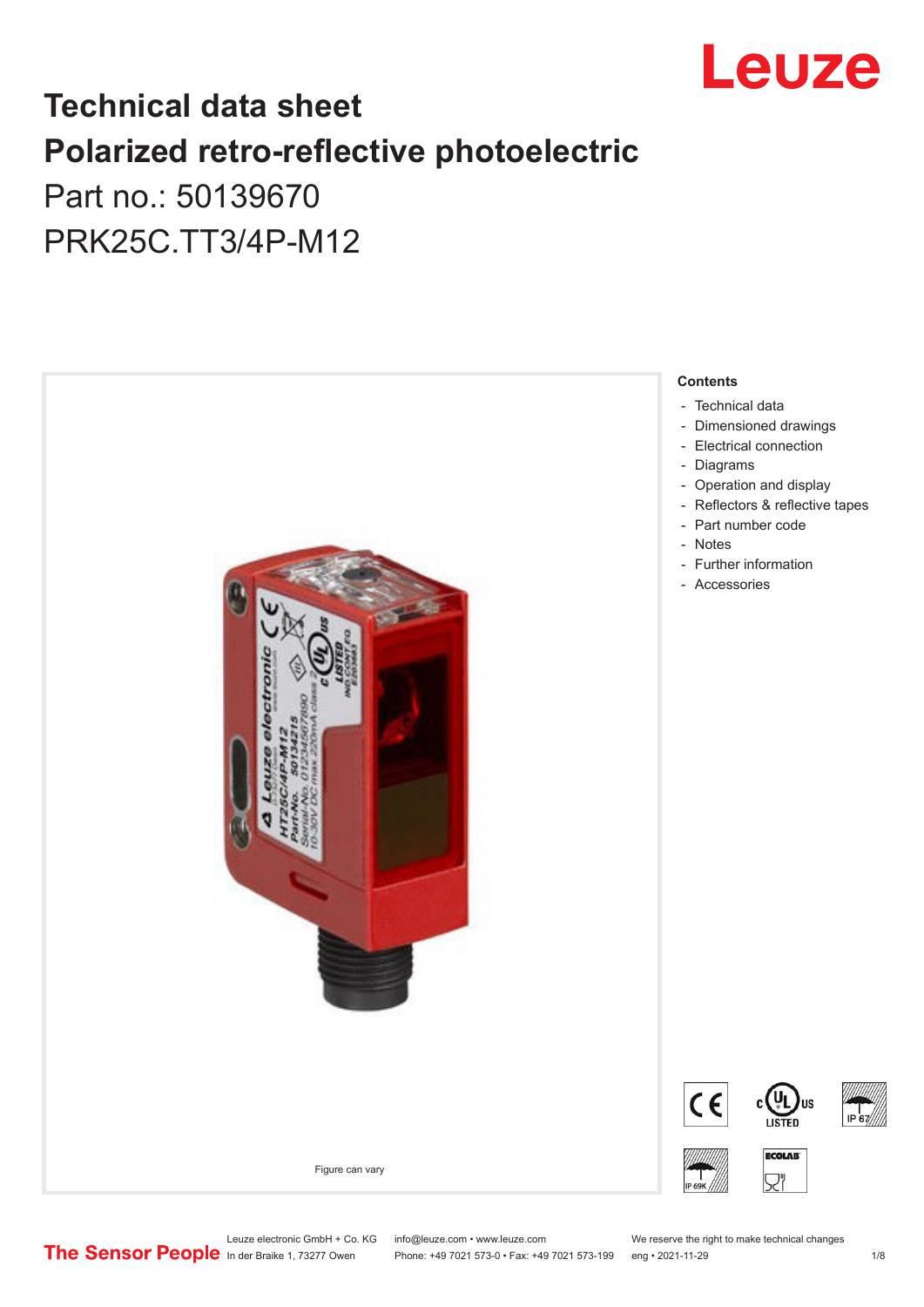

# **Technical data sheet Polarized retro-reflective photoelectric**  Part no.: 50139670

PRK25C.TT3/4P-M12



Leuze electronic GmbH + Co. KG info@leuze.com • www.leuze.com We reserve the right to make technical changes<br>
The Sensor People in der Braike 1, 73277 Owen Phone: +49 7021 573-0 • Fax: +49 7021 573-199 eng • 2021-11-29

Phone: +49 7021 573-0 • Fax: +49 7021 573-199 eng • 2021-11-29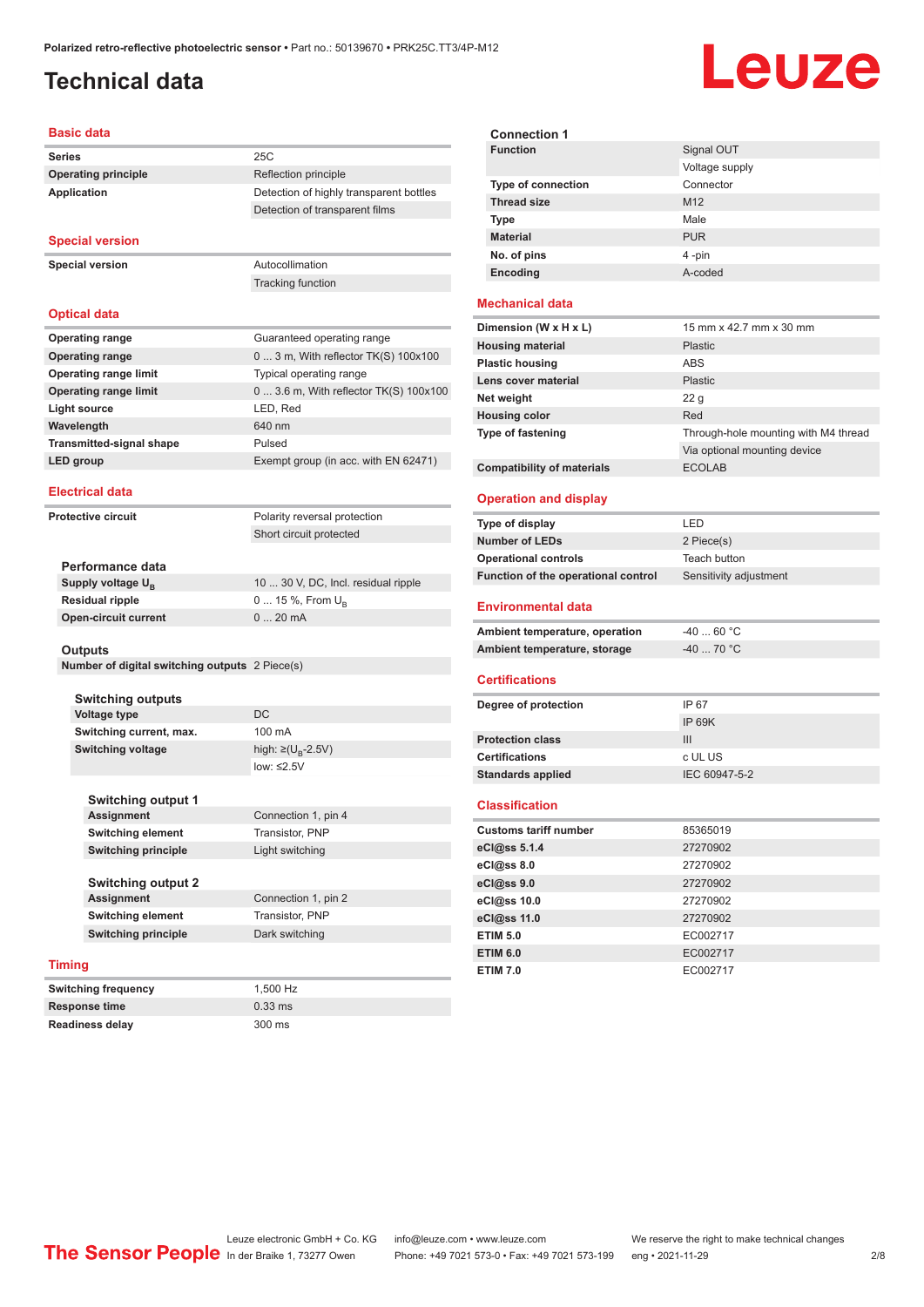# <span id="page-1-0"></span>**Technical data**

# Leuze

#### **Basic data**

| <b>Series</b>                   | 25C                                     |
|---------------------------------|-----------------------------------------|
| <b>Operating principle</b>      | Reflection principle                    |
| Application                     | Detection of highly transparent bottles |
|                                 | Detection of transparent films          |
|                                 |                                         |
| <b>Special version</b>          |                                         |
| <b>Special version</b>          | Autocollimation                         |
|                                 | <b>Tracking function</b>                |
|                                 |                                         |
| <b>Optical data</b>             |                                         |
| <b>Operating range</b>          | Guaranteed operating range              |
| <b>Operating range</b>          | $03$ m, With reflector TK(S) $100x100$  |
| <b>Operating range limit</b>    | Typical operating range                 |
| <b>Operating range limit</b>    | 0 3.6 m, With reflector TK(S) 100x100   |
| <b>Light source</b>             | LED, Red                                |
| Wavelength                      | 640 nm                                  |
| <b>Transmitted-signal shape</b> | Pulsed                                  |
| <b>LED</b> group                | Exempt group (in acc. with EN 62471)    |
|                                 |                                         |
| <b>Electrical data</b>          |                                         |
| <b>Protective circuit</b>       | Polarity reversal protection            |
|                                 | Short circuit protected                 |
|                                 |                                         |
| Performance data                |                                         |
| Supply voltage U <sub>B</sub>   | 10  30 V, DC, Incl. residual ripple     |

| Supply voltage Ս <sub>ո</sub> | 10  30 V, DC, Incl. residual ripple |
|-------------------------------|-------------------------------------|
| Residual ripple               | $0$ 15 %, From $U_{\rm B}$          |
| Open-circuit current          | $020$ mA                            |
|                               |                                     |

#### **Outputs**

| Number of digital switching outputs 2 Piece(s) |  |  |
|------------------------------------------------|--|--|
|------------------------------------------------|--|--|

**Switching outputs Voltage type** DC **Switching current, max.** 100 mA **Switching voltage** 

high:  $\geq (U_{\text{B}} - 2.5V)$ low: ≤2.5V

**Switching output 1 Connection 1, pin 4 Switching element** Transistor, PNP **Switching principle** Light switching

| Switching output 2  |                     |
|---------------------|---------------------|
| Assignment          | Connection 1, pin 2 |
| Switching element   | Transistor, PNP     |
| Switching principle | Dark switching      |

#### **Timing**

| Switching frequency  | 1,500 Hz  |
|----------------------|-----------|
| <b>Response time</b> | $0.33$ ms |
| Readiness delay      | 300 ms    |

| <b>Connection 1</b>       |                 |
|---------------------------|-----------------|
| <b>Function</b>           | Signal OUT      |
|                           | Voltage supply  |
| <b>Type of connection</b> | Connector       |
| <b>Thread size</b>        | M <sub>12</sub> |
| <b>Type</b>               | Male            |
| <b>Material</b>           | <b>PUR</b>      |
| No. of pins               | 4-pin           |
| Encoding                  | A-coded         |

#### **Mechanical data**

| Dimension (W x H x L)             | 15 mm x 42.7 mm x 30 mm              |
|-----------------------------------|--------------------------------------|
| <b>Housing material</b>           | <b>Plastic</b>                       |
| <b>Plastic housing</b>            | ABS                                  |
| Lens cover material               | <b>Plastic</b>                       |
| Net weight                        | 22 <sub>q</sub>                      |
| <b>Housing color</b>              | Red                                  |
| <b>Type of fastening</b>          | Through-hole mounting with M4 thread |
|                                   | Via optional mounting device         |
| <b>Compatibility of materials</b> | <b>ECOLAB</b>                        |

#### **Operation and display**

| Type of display                     | LED                             |
|-------------------------------------|---------------------------------|
| <b>Number of LEDs</b>               | 2 Piece(s)                      |
| <b>Operational controls</b>         | Teach button                    |
| Function of the operational control | Sensitivity adjustment          |
| <b>Environmental data</b>           |                                 |
| Ambient temperature operation       | െ∩ി<br>$\overline{\mathcal{A}}$ |

| Ambient temperature, operation<br>-40  60 °C |  |
|----------------------------------------------|--|
| Ambient temperature, storage<br>-40  70 °C   |  |

#### **Certifications**

| Degree of protection     | IP 67         |
|--------------------------|---------------|
|                          | IP 69K        |
| <b>Protection class</b>  | Ш             |
| <b>Certifications</b>    | c UL US       |
| <b>Standards applied</b> | IEC 60947-5-2 |
|                          |               |

#### **Classification**

| <b>Customs tariff number</b> | 85365019 |
|------------------------------|----------|
| eCl@ss 5.1.4                 | 27270902 |
| eCl@ss 8.0                   | 27270902 |
| eCl@ss 9.0                   | 27270902 |
| eCl@ss 10.0                  | 27270902 |
| eCl@ss 11.0                  | 27270902 |
| <b>ETIM 5.0</b>              | EC002717 |
| <b>ETIM 6.0</b>              | EC002717 |
| <b>ETIM 7.0</b>              | EC002717 |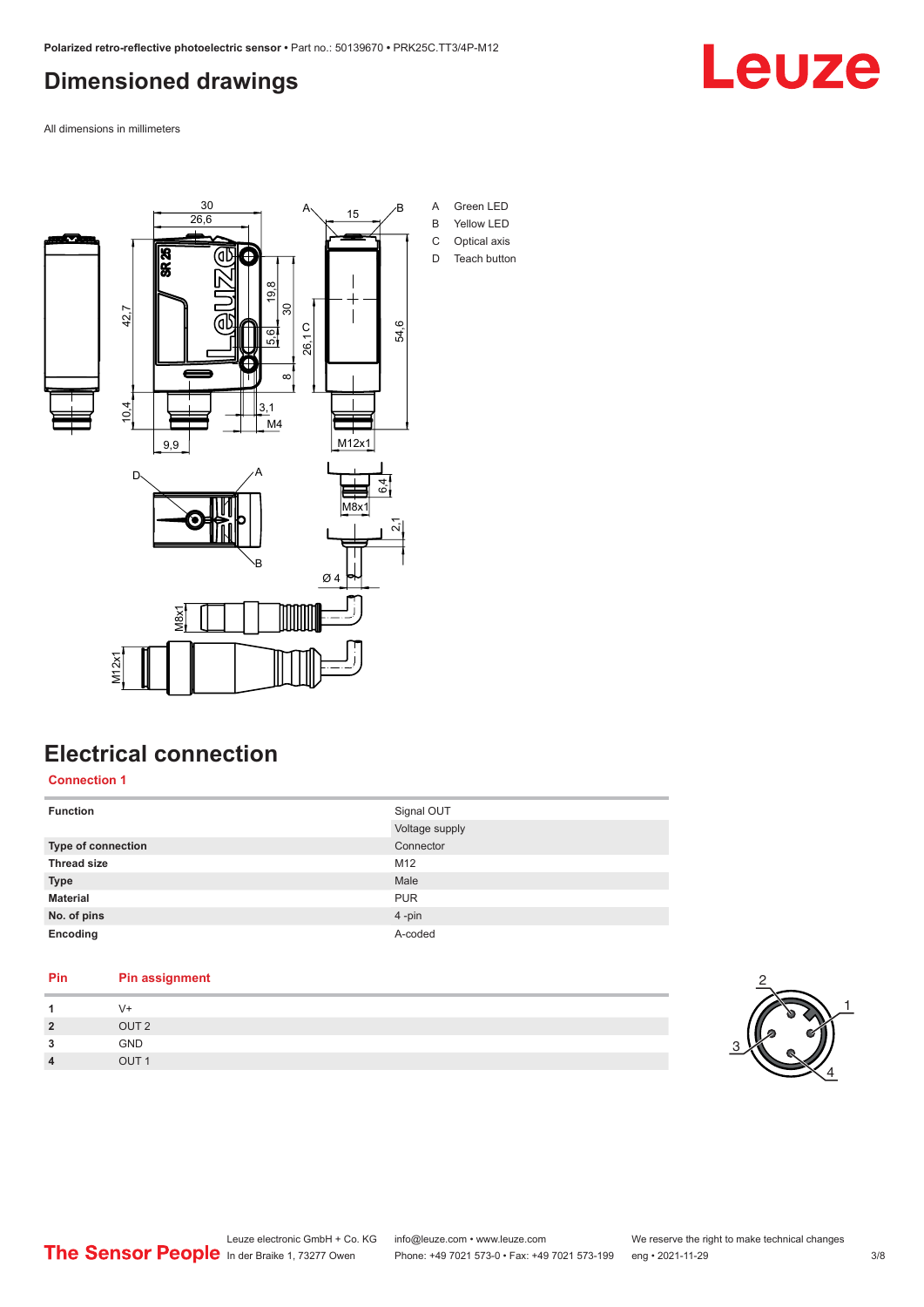## <span id="page-2-0"></span>**Dimensioned drawings**

Leuze

All dimensions in millimeters



### **Electrical connection**

**Connection 1**

| <b>Function</b>    | Signal OUT<br>Voltage supply |
|--------------------|------------------------------|
| Type of connection | Connector                    |
| <b>Thread size</b> | M12                          |
| <b>Type</b>        | Male                         |
| <b>Material</b>    | <b>PUR</b>                   |
| No. of pins        | 4-pin                        |
| Encoding           | A-coded                      |

| Pin            | <b>Pin assignment</b> |
|----------------|-----------------------|
| 1              | V+                    |
| $\overline{2}$ | OUT <sub>2</sub>      |
| 3              | <b>GND</b>            |
| $\overline{4}$ | OUT <sub>1</sub>      |
|                |                       |

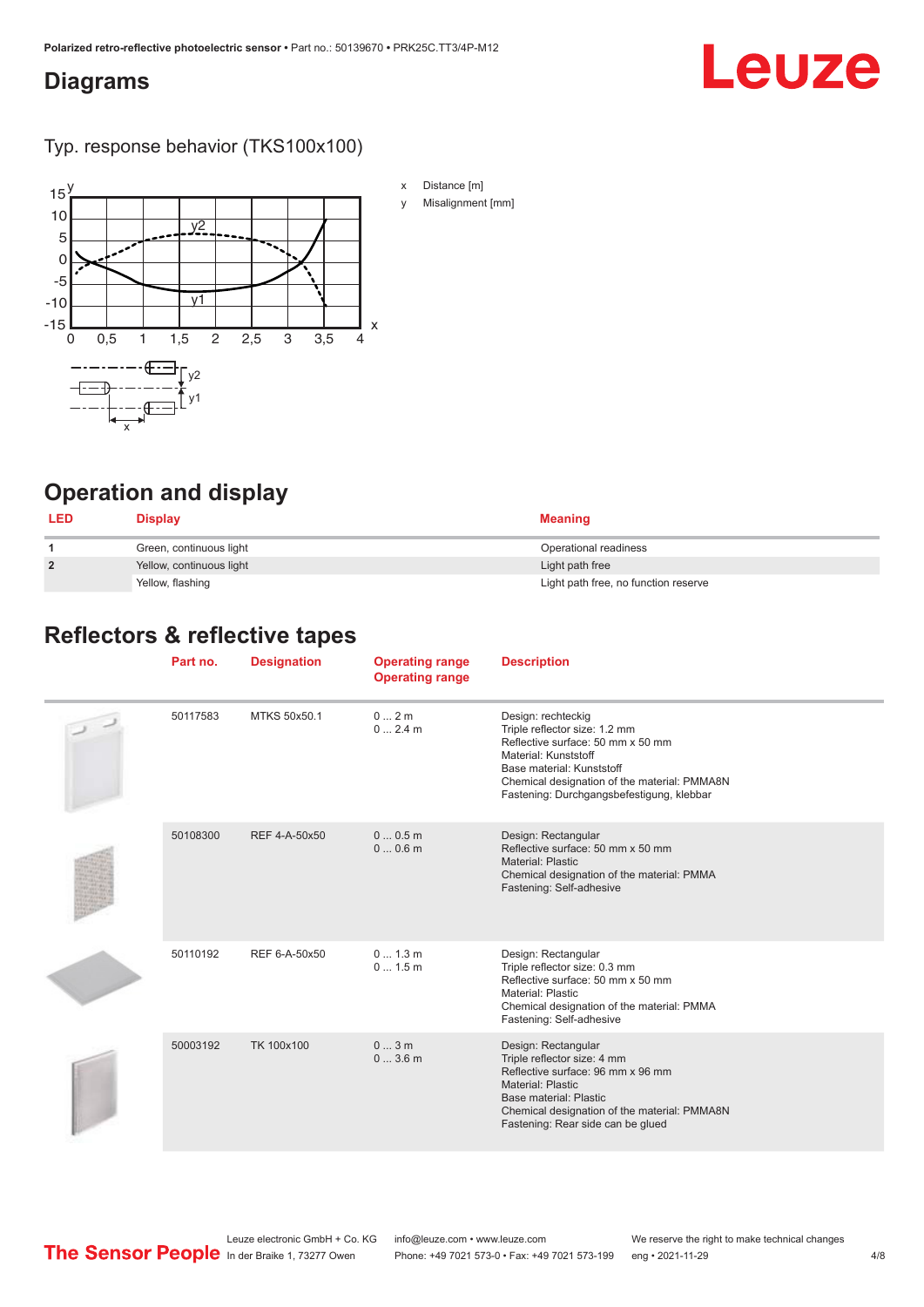#### <span id="page-3-0"></span>**Diagrams**

# Leuze

Typ. response behavior (TKS100x100)



**Operation and display**

| <b>LED</b>     | Display                  | <b>Meaning</b>                       |
|----------------|--------------------------|--------------------------------------|
|                | Green, continuous light  | Operational readiness                |
| $\overline{2}$ | Yellow, continuous light | Light path free                      |
|                | Yellow, flashing         | Light path free, no function reserve |

#### **Reflectors & reflective tapes**

| Part no. | <b>Designation</b> | <b>Operating range</b><br><b>Operating range</b> | <b>Description</b>                                                                                                                                                                                                                         |
|----------|--------------------|--------------------------------------------------|--------------------------------------------------------------------------------------------------------------------------------------------------------------------------------------------------------------------------------------------|
| 50117583 | MTKS 50x50.1       | $0 \dots 2$ m<br>$02.4$ m                        | Design: rechteckig<br>Triple reflector size: 1.2 mm<br>Reflective surface: 50 mm x 50 mm<br>Material: Kunststoff<br>Base material: Kunststoff<br>Chemical designation of the material: PMMA8N<br>Fastening: Durchgangsbefestigung, klebbar |
| 50108300 | REF 4-A-50x50      | 00.5m<br>00.6m                                   | Design: Rectangular<br>Reflective surface: 50 mm x 50 mm<br><b>Material: Plastic</b><br>Chemical designation of the material: PMMA<br>Fastening: Self-adhesive                                                                             |
| 50110192 | REF 6-A-50x50      | 0 1.3 m<br>0 1.5 m                               | Design: Rectangular<br>Triple reflector size: 0.3 mm<br>Reflective surface: 50 mm x 50 mm<br><b>Material: Plastic</b><br>Chemical designation of the material: PMMA<br>Fastening: Self-adhesive                                            |
| 50003192 | TK 100x100         | 03m<br>03.6m                                     | Design: Rectangular<br>Triple reflector size: 4 mm<br>Reflective surface: 96 mm x 96 mm<br><b>Material: Plastic</b><br>Base material: Plastic<br>Chemical designation of the material: PMMA8N<br>Fastening: Rear side can be glued         |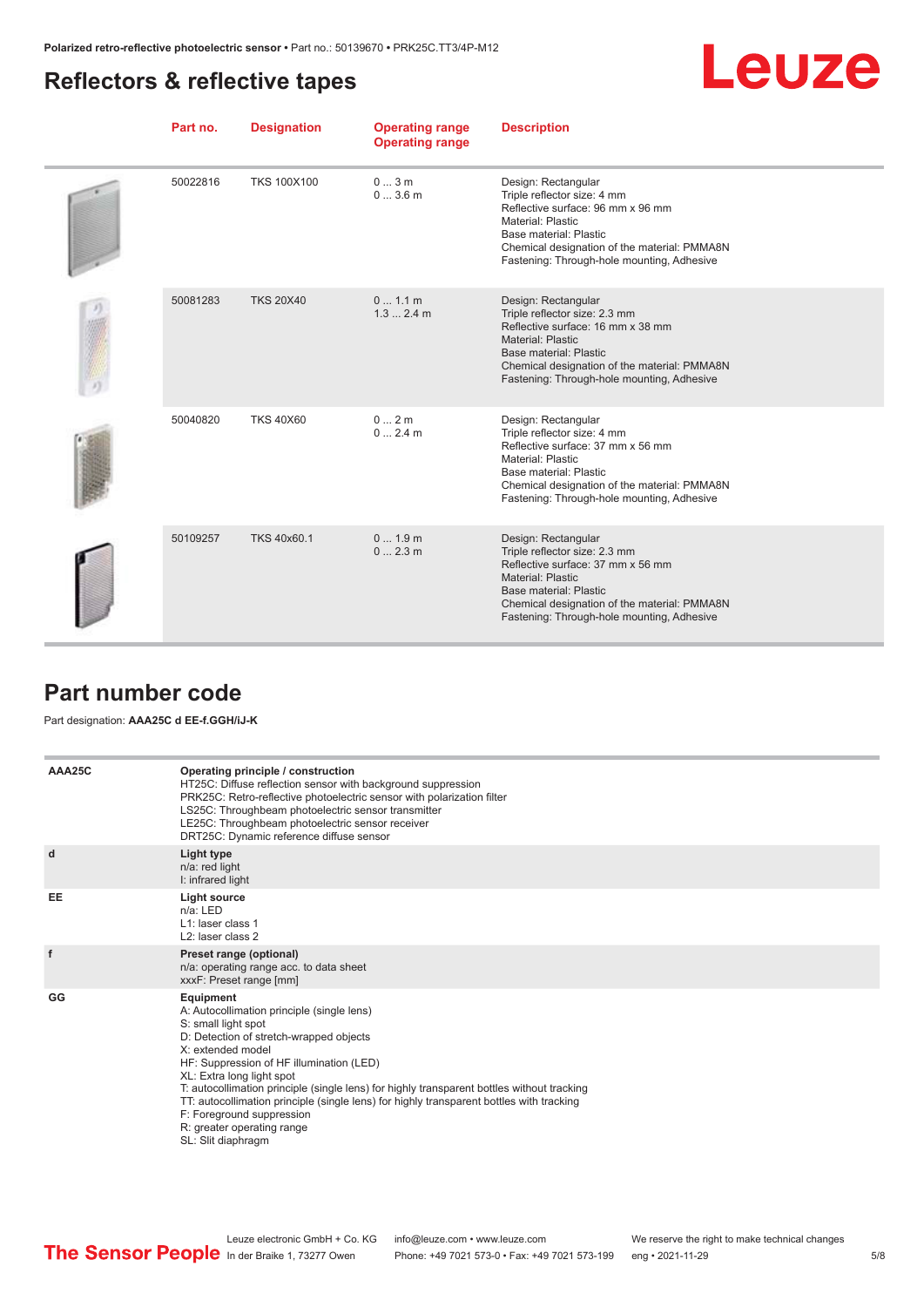## <span id="page-4-0"></span>**Reflectors & reflective tapes**



| Part no. | <b>Designation</b> | <b>Operating range</b><br><b>Operating range</b> | <b>Description</b>                                                                                                                                                                                                                                   |
|----------|--------------------|--------------------------------------------------|------------------------------------------------------------------------------------------------------------------------------------------------------------------------------------------------------------------------------------------------------|
| 50022816 | <b>TKS 100X100</b> | 03m<br>03.6m                                     | Design: Rectangular<br>Triple reflector size: 4 mm<br>Reflective surface: 96 mm x 96 mm<br><b>Material: Plastic</b><br>Base material: Plastic<br>Chemical designation of the material: PMMA8N<br>Fastening: Through-hole mounting, Adhesive          |
| 50081283 | <b>TKS 20X40</b>   | 0 1.1 m<br>1.32.4m                               | Design: Rectangular<br>Triple reflector size: 2.3 mm<br>Reflective surface: 16 mm x 38 mm<br><b>Material: Plastic</b><br>Base material: Plastic<br>Chemical designation of the material: PMMA8N<br>Fastening: Through-hole mounting, Adhesive        |
| 50040820 | <b>TKS 40X60</b>   | 02m<br>02.4m                                     | Design: Rectangular<br>Triple reflector size: 4 mm<br>Reflective surface: 37 mm x 56 mm<br>Material: Plastic<br>Base material: Plastic<br>Chemical designation of the material: PMMA8N<br>Fastening: Through-hole mounting, Adhesive                 |
| 50109257 | TKS 40x60.1        | 01.9m<br>02.3m                                   | Design: Rectangular<br>Triple reflector size: 2.3 mm<br>Reflective surface: 37 mm x 56 mm<br><b>Material: Plastic</b><br><b>Base material: Plastic</b><br>Chemical designation of the material: PMMA8N<br>Fastening: Through-hole mounting, Adhesive |

#### **Part number code**

#### Part designation: **AAA25C d EE-f.GGH/iJ-K**

| AAA25C | Operating principle / construction<br>HT25C: Diffuse reflection sensor with background suppression<br>PRK25C: Retro-reflective photoelectric sensor with polarization filter<br>LS25C: Throughbeam photoelectric sensor transmitter<br>LE25C: Throughbeam photoelectric sensor receiver<br>DRT25C: Dynamic reference diffuse sensor                                                                                                                                                                |
|--------|----------------------------------------------------------------------------------------------------------------------------------------------------------------------------------------------------------------------------------------------------------------------------------------------------------------------------------------------------------------------------------------------------------------------------------------------------------------------------------------------------|
| d      | Light type<br>n/a: red light<br>I: infrared light                                                                                                                                                                                                                                                                                                                                                                                                                                                  |
| EE     | Light source<br>$n/a$ : LED<br>L1: laser class 1<br>L <sub>2</sub> : laser class 2                                                                                                                                                                                                                                                                                                                                                                                                                 |
| f      | Preset range (optional)<br>n/a: operating range acc. to data sheet<br>xxxF: Preset range [mm]                                                                                                                                                                                                                                                                                                                                                                                                      |
| GG     | Equipment<br>A: Autocollimation principle (single lens)<br>S: small light spot<br>D: Detection of stretch-wrapped objects<br>X: extended model<br>HF: Suppression of HF illumination (LED)<br>XL: Extra long light spot<br>T: autocollimation principle (single lens) for highly transparent bottles without tracking<br>TT: autocollimation principle (single lens) for highly transparent bottles with tracking<br>F: Foreground suppression<br>R: greater operating range<br>SL: Slit diaphragm |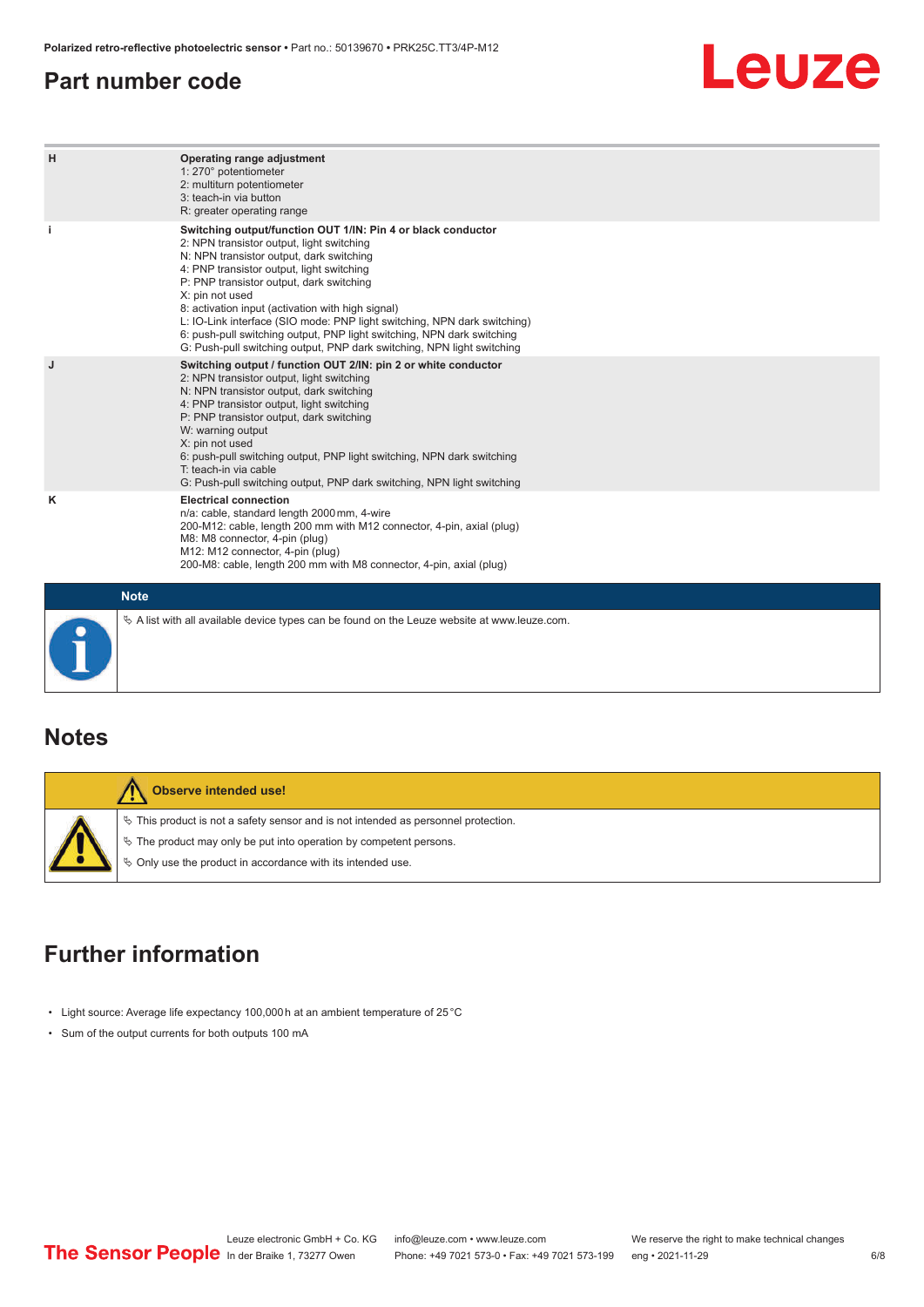#### <span id="page-5-0"></span>**Part number code**

# Leuze

| H  | Operating range adjustment<br>1: 270° potentiometer<br>2: multiturn potentiometer<br>3: teach-in via button<br>R: greater operating range                                                                                                                                                                                                                                                                                                                                                                                                              |
|----|--------------------------------------------------------------------------------------------------------------------------------------------------------------------------------------------------------------------------------------------------------------------------------------------------------------------------------------------------------------------------------------------------------------------------------------------------------------------------------------------------------------------------------------------------------|
| j. | Switching output/function OUT 1/IN: Pin 4 or black conductor<br>2: NPN transistor output, light switching<br>N: NPN transistor output, dark switching<br>4: PNP transistor output, light switching<br>P: PNP transistor output, dark switching<br>X: pin not used<br>8: activation input (activation with high signal)<br>L: IO-Link interface (SIO mode: PNP light switching, NPN dark switching)<br>6: push-pull switching output, PNP light switching, NPN dark switching<br>G: Push-pull switching output, PNP dark switching, NPN light switching |
| J  | Switching output / function OUT 2/IN: pin 2 or white conductor<br>2: NPN transistor output, light switching<br>N: NPN transistor output, dark switching<br>4: PNP transistor output, light switching<br>P: PNP transistor output, dark switching<br>W: warning output<br>X: pin not used<br>6: push-pull switching output, PNP light switching, NPN dark switching<br>T: teach-in via cable<br>G: Push-pull switching output, PNP dark switching, NPN light switching                                                                                  |
| ĸ  | <b>Electrical connection</b><br>n/a: cable, standard length 2000 mm, 4-wire<br>200-M12: cable, length 200 mm with M12 connector, 4-pin, axial (plug)<br>M8: M8 connector, 4-pin (plug)<br>M12: M12 connector, 4-pin (plug)<br>200-M8: cable, length 200 mm with M8 connector, 4-pin, axial (plug)                                                                                                                                                                                                                                                      |
|    | <b>Note</b>                                                                                                                                                                                                                                                                                                                                                                                                                                                                                                                                            |
|    | $\&$ A list with all available device types can be found on the Leuze website at www.leuze.com.                                                                                                                                                                                                                                                                                                                                                                                                                                                        |

#### **Notes**

| Observe intended use!                                                                                                                                                                                                              |
|------------------------------------------------------------------------------------------------------------------------------------------------------------------------------------------------------------------------------------|
| $\%$ This product is not a safety sensor and is not intended as personnel protection.<br>$\&$ The product may only be put into operation by competent persons.<br>$\phi$ Only use the product in accordance with its intended use. |

# **Further information**

- Light source: Average life expectancy 100,000 h at an ambient temperature of 25 °C
- Sum of the output currents for both outputs 100 mA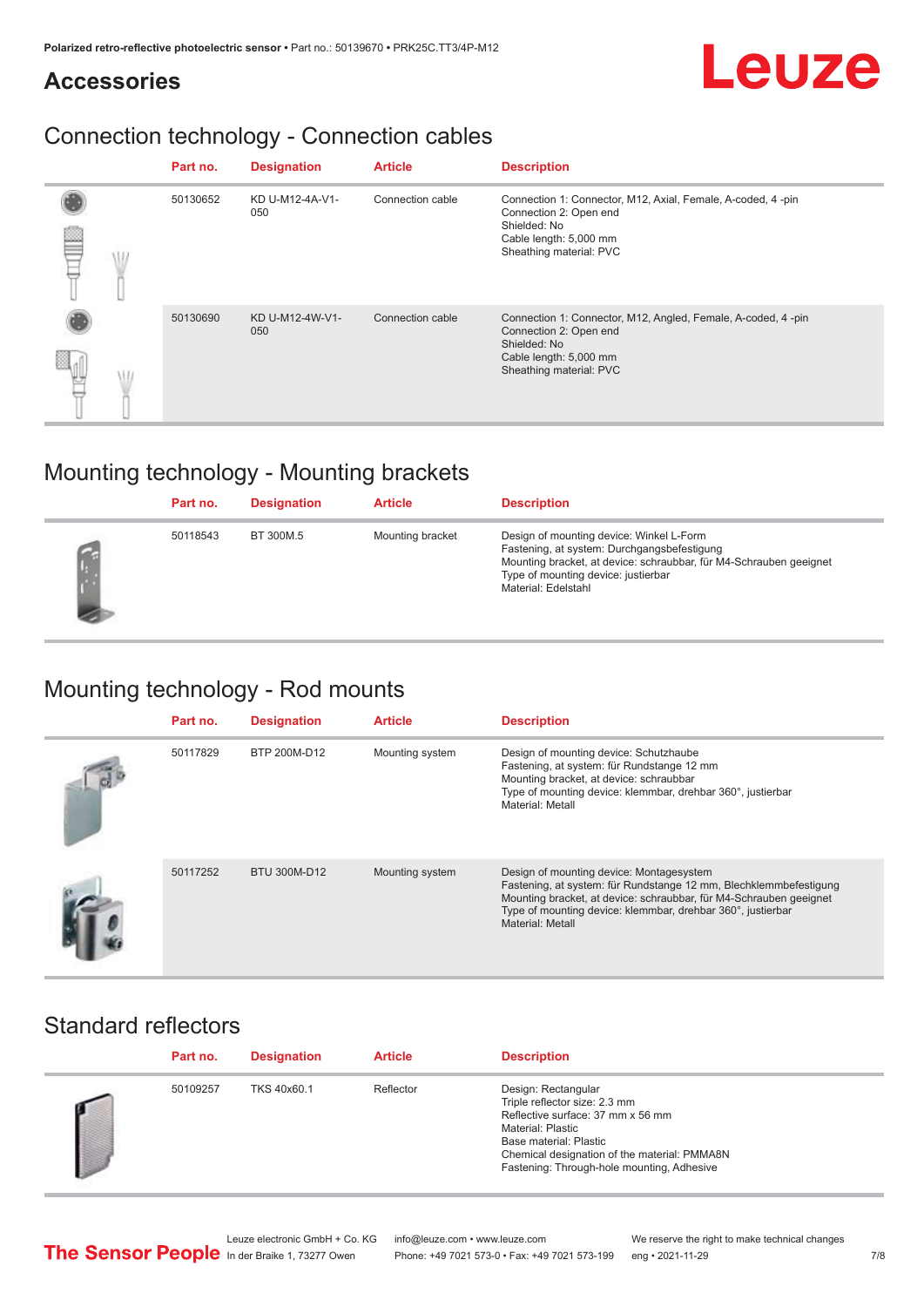#### **Accessories**

## Connection technology - Connection cables

|  | Part no. | <b>Designation</b>     | <b>Article</b>   | <b>Description</b>                                                                                                                                          |
|--|----------|------------------------|------------------|-------------------------------------------------------------------------------------------------------------------------------------------------------------|
|  | 50130652 | KD U-M12-4A-V1-<br>050 | Connection cable | Connection 1: Connector, M12, Axial, Female, A-coded, 4-pin<br>Connection 2: Open end<br>Shielded: No<br>Cable length: 5,000 mm<br>Sheathing material: PVC  |
|  | 50130690 | KD U-M12-4W-V1-<br>050 | Connection cable | Connection 1: Connector, M12, Angled, Female, A-coded, 4-pin<br>Connection 2: Open end<br>Shielded: No<br>Cable length: 5,000 mm<br>Sheathing material: PVC |

## Mounting technology - Mounting brackets

| Part no. | <b>Designation</b> | <b>Article</b>   | <b>Description</b>                                                                                                                                                                                                          |
|----------|--------------------|------------------|-----------------------------------------------------------------------------------------------------------------------------------------------------------------------------------------------------------------------------|
| 50118543 | BT 300M.5          | Mounting bracket | Design of mounting device: Winkel L-Form<br>Fastening, at system: Durchgangsbefestigung<br>Mounting bracket, at device: schraubbar, für M4-Schrauben geeignet<br>Type of mounting device: justierbar<br>Material: Edelstahl |

# Mounting technology - Rod mounts

| Part no. | <b>Designation</b> | <b>Article</b>  | <b>Description</b>                                                                                                                                                                                                                                                     |
|----------|--------------------|-----------------|------------------------------------------------------------------------------------------------------------------------------------------------------------------------------------------------------------------------------------------------------------------------|
| 50117829 | BTP 200M-D12       | Mounting system | Design of mounting device: Schutzhaube<br>Fastening, at system: für Rundstange 12 mm<br>Mounting bracket, at device: schraubbar<br>Type of mounting device: klemmbar, drehbar 360°, justierbar<br>Material: Metall                                                     |
| 50117252 | BTU 300M-D12       | Mounting system | Design of mounting device: Montagesystem<br>Fastening, at system: für Rundstange 12 mm, Blechklemmbefestigung<br>Mounting bracket, at device: schraubbar, für M4-Schrauben geeignet<br>Type of mounting device: klemmbar, drehbar 360°, justierbar<br>Material: Metall |

#### Standard reflectors

| Part no. | <b>Designation</b> | <b>Article</b> | <b>Description</b>                                                                                                                                                                                                                     |
|----------|--------------------|----------------|----------------------------------------------------------------------------------------------------------------------------------------------------------------------------------------------------------------------------------------|
| 50109257 | TKS 40x60.1        | Reflector      | Design: Rectangular<br>Triple reflector size: 2.3 mm<br>Reflective surface: 37 mm x 56 mm<br>Material: Plastic<br>Base material: Plastic<br>Chemical designation of the material: PMMA8N<br>Fastening: Through-hole mounting, Adhesive |

Leuze electronic GmbH + Co. KG info@leuze.com • www.leuze.com We reserve the right to make technical changes<br>
The Sensor People in der Braike 1, 73277 Owen Phone: +49 7021 573-0 • Fax: +49 7021 573-199 eng • 2021-11-29